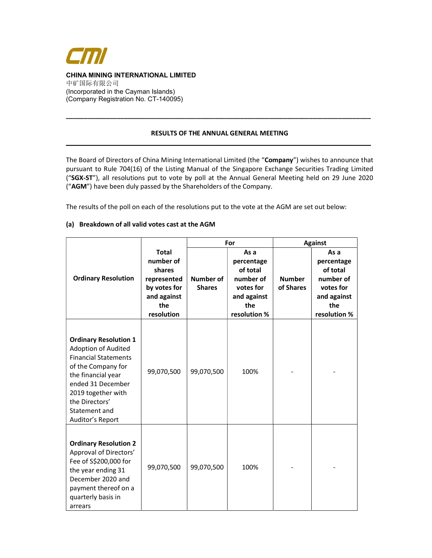

#### RESULTS OF THE ANNUAL GENERAL MEETING \_\_\_\_\_\_\_\_\_\_\_\_\_\_\_\_\_\_\_\_\_\_\_\_\_\_\_\_\_\_\_\_\_\_\_\_\_\_\_\_\_\_\_\_\_\_\_\_\_\_\_\_\_\_\_\_\_\_\_\_\_\_\_\_\_\_\_\_\_\_\_\_\_\_\_\_\_\_\_\_\_\_\_\_

\_\_\_\_\_\_\_\_\_\_\_\_\_\_\_\_\_\_\_\_\_\_\_\_\_\_\_\_\_\_\_\_\_\_\_\_\_\_\_\_\_\_\_\_\_\_\_\_\_\_\_\_\_\_\_\_\_\_\_\_\_\_\_\_\_\_\_\_\_\_\_\_\_\_\_\_\_\_\_\_\_\_\_\_

The Board of Directors of China Mining International Limited (the "Company") wishes to announce that pursuant to Rule 704(16) of the Listing Manual of the Singapore Exchange Securities Trading Limited ("SGX-ST"), all resolutions put to vote by poll at the Annual General Meeting held on 29 June 2020 ("AGM") have been duly passed by the Shareholders of the Company.

The results of the poll on each of the resolutions put to the vote at the AGM are set out below:

## (a) Breakdown of all valid votes cast at the AGM

|                                                                                                                                                                                                                                         |                                                                                                        | For                               |                                                                                                | <b>Against</b>             |                                                                                                |
|-----------------------------------------------------------------------------------------------------------------------------------------------------------------------------------------------------------------------------------------|--------------------------------------------------------------------------------------------------------|-----------------------------------|------------------------------------------------------------------------------------------------|----------------------------|------------------------------------------------------------------------------------------------|
| <b>Ordinary Resolution</b>                                                                                                                                                                                                              | <b>Total</b><br>number of<br>shares<br>represented<br>by votes for<br>and against<br>the<br>resolution | <b>Number of</b><br><b>Shares</b> | As a<br>percentage<br>of total<br>number of<br>votes for<br>and against<br>the<br>resolution % | <b>Number</b><br>of Shares | As a<br>percentage<br>of total<br>number of<br>votes for<br>and against<br>the<br>resolution % |
| <b>Ordinary Resolution 1</b><br><b>Adoption of Audited</b><br><b>Financial Statements</b><br>of the Company for<br>the financial year<br>ended 31 December<br>2019 together with<br>the Directors'<br>Statement and<br>Auditor's Report | 99,070,500                                                                                             | 99,070,500                        | 100%                                                                                           |                            |                                                                                                |
| <b>Ordinary Resolution 2</b><br>Approval of Directors'<br>Fee of S\$200,000 for<br>the year ending 31<br>December 2020 and<br>payment thereof on a<br>quarterly basis in<br>arrears                                                     | 99,070,500                                                                                             | 99,070,500                        | 100%                                                                                           |                            |                                                                                                |